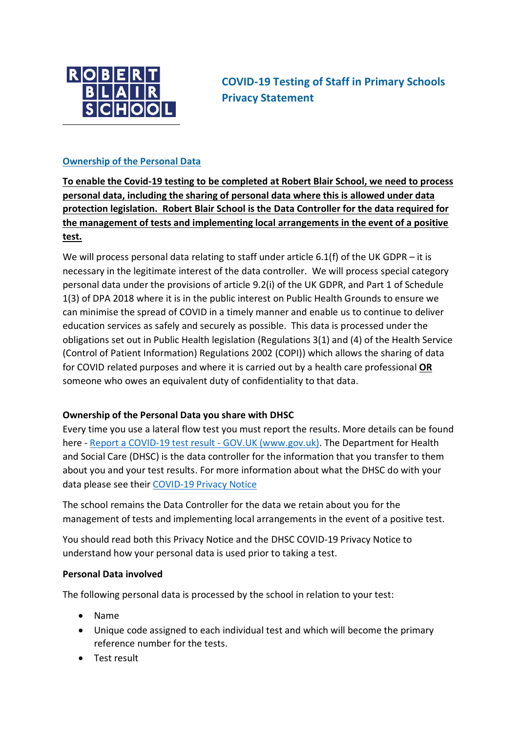

**COVID-19 Testing of Staff in Primary Schools Privacy Statement**

### **Ownership of the Personal Data**

**To enable the Covid-19 testing to be completed at Robert Blair School, we need to process personal data, including the sharing of personal data where this is allowed under data protection legislation. Robert Blair School is the Data Controller for the data required for the management of tests and implementing local arrangements in the event of a positive test.** 

We will process personal data relating to staff under article 6.1(f) of the UK GDPR – it is necessary in the legitimate interest of the data controller. We will process special category personal data under the provisions of article 9.2(i) of the UK GDPR, and Part 1 of Schedule 1(3) of DPA 2018 where it is in the public interest on Public Health Grounds to ensure we can minimise the spread of COVID in a timely manner and enable us to continue to deliver education services as safely and securely as possible. This data is processed under the obligations set out in Public Health legislation (Regulations 3(1) and (4) of the Health Service (Control of Patient Information) Regulations 2002 (COPI)) which allows the sharing of data for COVID related purposes and where it is carried out by a health care professional **OR** someone who owes an equivalent duty of confidentiality to that data.

# **Ownership of the Personal Data you share with DHSC**

Every time you use a lateral flow test you must report the results. More details can be found here - [Report a COVID-19 test result -](https://www.gov.uk/report-covid19-result) GOV.UK (www.gov.uk). The Department for Health and Social Care (DHSC) is the data controller for the information that you transfer to them about you and your test results. For more information about what the DHSC do with your data please see their [COVID-19 Privacy Notice](https://www.gov.uk/government/publications/coronavirus-covid-19-testing-privacy-information)

The school remains the Data Controller for the data we retain about you for the management of tests and implementing local arrangements in the event of a positive test.

You should read both this Privacy Notice and the DHSC COVID-19 Privacy Notice to understand how your personal data is used prior to taking a test.

#### **Personal Data involved**

The following personal data is processed by the school in relation to your test:

- Name
- Unique code assigned to each individual test and which will become the primary reference number for the tests.
- Test result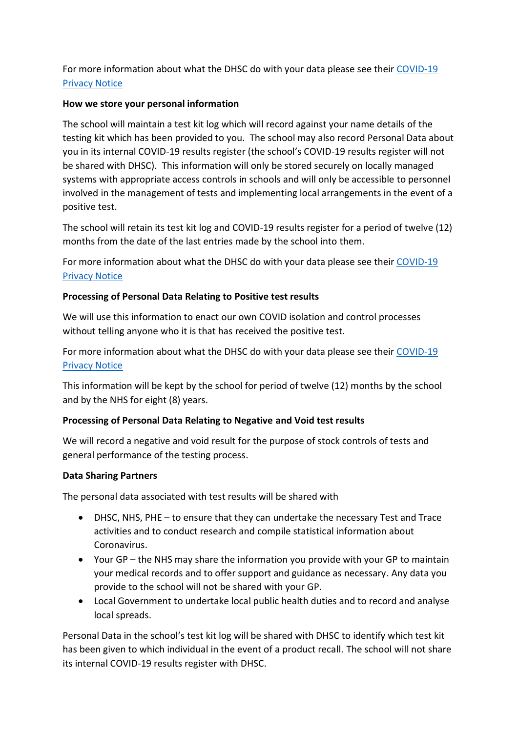For more information about what the DHSC do with your data please see their [COVID-19](https://www.gov.uk/government/publications/coronavirus-covid-19-testing-privacy-information)  [Privacy Notice](https://www.gov.uk/government/publications/coronavirus-covid-19-testing-privacy-information)

### **How we store your personal information**

The school will maintain a test kit log which will record against your name details of the testing kit which has been provided to you. The school may also record Personal Data about you in its internal COVID-19 results register (the school's COVID-19 results register will not be shared with DHSC). This information will only be stored securely on locally managed systems with appropriate access controls in schools and will only be accessible to personnel involved in the management of tests and implementing local arrangements in the event of a positive test.

The school will retain its test kit log and COVID-19 results register for a period of twelve (12) months from the date of the last entries made by the school into them.

For more information about what the DHSC do with your data please see their [COVID-19](https://www.gov.uk/government/publications/coronavirus-covid-19-testing-privacy-information)  [Privacy Notice](https://www.gov.uk/government/publications/coronavirus-covid-19-testing-privacy-information)

# **Processing of Personal Data Relating to Positive test results**

We will use this information to enact our own COVID isolation and control processes without telling anyone who it is that has received the positive test.

For more information about what the DHSC do with your data please see their [COVID-19](https://www.gov.uk/government/publications/coronavirus-covid-19-testing-privacy-information)  [Privacy Notice](https://www.gov.uk/government/publications/coronavirus-covid-19-testing-privacy-information)

This information will be kept by the school for period of twelve (12) months by the school and by the NHS for eight (8) years.

# **Processing of Personal Data Relating to Negative and Void test results**

We will record a negative and void result for the purpose of stock controls of tests and general performance of the testing process.

#### **Data Sharing Partners**

The personal data associated with test results will be shared with

- DHSC, NHS, PHE to ensure that they can undertake the necessary Test and Trace activities and to conduct research and compile statistical information about Coronavirus.
- Your GP the NHS may share the information you provide with your GP to maintain your medical records and to offer support and guidance as necessary. Any data you provide to the school will not be shared with your GP.
- Local Government to undertake local public health duties and to record and analyse local spreads.

Personal Data in the school's test kit log will be shared with DHSC to identify which test kit has been given to which individual in the event of a product recall. The school will not share its internal COVID-19 results register with DHSC.